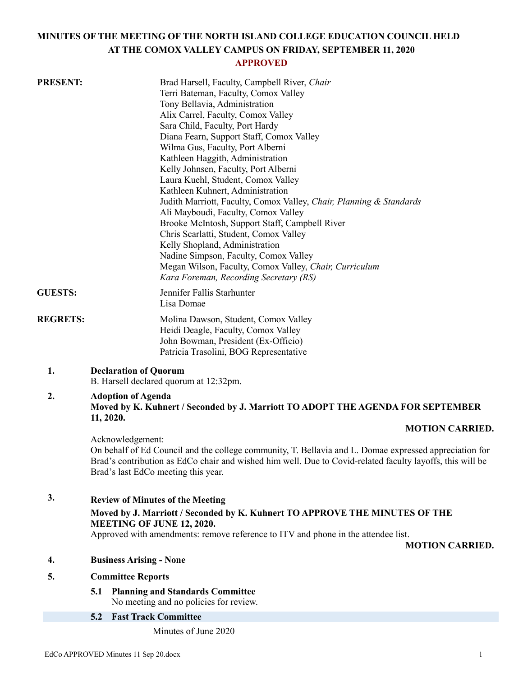# **MINUTES OF THE MEETING OF THE NORTH ISLAND COLLEGE EDUCATION COUNCIL HELD AT THE COMOX VALLEY CAMPUS ON FRIDAY, SEPTEMBER 11, 2020**

# **APPROVED**

| <b>PRESENT:</b> | Brad Harsell, Faculty, Campbell River, Chair<br>Terri Bateman, Faculty, Comox Valley                                                                                                                                |
|-----------------|---------------------------------------------------------------------------------------------------------------------------------------------------------------------------------------------------------------------|
|                 | Tony Bellavia, Administration                                                                                                                                                                                       |
|                 | Alix Carrel, Faculty, Comox Valley                                                                                                                                                                                  |
|                 | Sara Child, Faculty, Port Hardy                                                                                                                                                                                     |
|                 | Diana Fearn, Support Staff, Comox Valley                                                                                                                                                                            |
|                 | Wilma Gus, Faculty, Port Alberni                                                                                                                                                                                    |
|                 | Kathleen Haggith, Administration                                                                                                                                                                                    |
|                 | Kelly Johnsen, Faculty, Port Alberni                                                                                                                                                                                |
|                 | Laura Kuehl, Student, Comox Valley<br>Kathleen Kuhnert, Administration                                                                                                                                              |
|                 | Judith Marriott, Faculty, Comox Valley, Chair, Planning & Standards                                                                                                                                                 |
|                 | Ali Mayboudi, Faculty, Comox Valley                                                                                                                                                                                 |
|                 | Brooke McIntosh, Support Staff, Campbell River                                                                                                                                                                      |
|                 | Chris Scarlatti, Student, Comox Valley                                                                                                                                                                              |
|                 | Kelly Shopland, Administration                                                                                                                                                                                      |
|                 | Nadine Simpson, Faculty, Comox Valley<br>Megan Wilson, Faculty, Comox Valley, Chair, Curriculum                                                                                                                     |
|                 | Kara Foreman, Recording Secretary (RS)                                                                                                                                                                              |
| <b>GUESTS:</b>  | Jennifer Fallis Starhunter                                                                                                                                                                                          |
|                 | Lisa Domae                                                                                                                                                                                                          |
| <b>REGRETS:</b> | Molina Dawson, Student, Comox Valley                                                                                                                                                                                |
|                 | Heidi Deagle, Faculty, Comox Valley                                                                                                                                                                                 |
|                 | John Bowman, President (Ex-Officio)<br>Patricia Trasolini, BOG Representative                                                                                                                                       |
|                 |                                                                                                                                                                                                                     |
| 1.              | <b>Declaration of Quorum</b><br>B. Harsell declared quorum at 12:32pm.                                                                                                                                              |
| 2.              | <b>Adoption of Agenda</b><br>Moved by K. Kuhnert / Seconded by J. Marriott TO ADOPT THE AGENDA FOR SEPTEMBER                                                                                                        |
|                 | 11, 2020.<br><b>MOTION CARRIED.</b>                                                                                                                                                                                 |
|                 | Acknowledgement:                                                                                                                                                                                                    |
|                 | On behalf of Ed Council and the college community, T. Bellavia and L. Domae expressed appreciation for<br>Brad's contribution as EdCo chair and wished him well. Due to Covid-related faculty layoffs, this will be |
|                 | Brad's last EdCo meeting this year.                                                                                                                                                                                 |
| 3.              | <b>Review of Minutes of the Meeting</b>                                                                                                                                                                             |
|                 | Moved by J. Marriott / Seconded by K. Kuhnert TO APPROVE THE MINUTES OF THE                                                                                                                                         |
|                 | MEETING OF JUNE 12, 2020.                                                                                                                                                                                           |
|                 | Approved with amendments: remove reference to ITV and phone in the attendee list.                                                                                                                                   |
|                 | <b>MOTION CARRIED.</b>                                                                                                                                                                                              |
| 4.              | <b>Business Arising - None</b>                                                                                                                                                                                      |
| 5.              | <b>Committee Reports</b>                                                                                                                                                                                            |
|                 | 5.1<br><b>Planning and Standards Committee</b>                                                                                                                                                                      |
|                 | No meeting and no policies for review.                                                                                                                                                                              |
|                 | <b>Fast Track Committee</b><br>5.2                                                                                                                                                                                  |
|                 | Minutes of June 2020                                                                                                                                                                                                |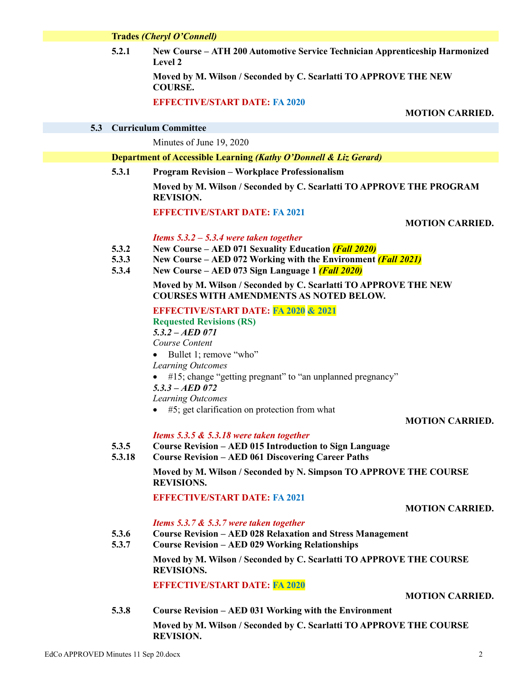**Trades** *(Cheryl O'Connell)*

**5.2.1 New Course – ATH 200 Automotive Service Technician Apprenticeship Harmonized Level 2**

> **Moved by M. Wilson / Seconded by C. Scarlatti TO APPROVE THE NEW COURSE.**

**EFFECTIVE/START DATE: FA 2020**

**MOTION CARRIED.**

**5.3 Curriculum Committee**

Minutes of June 19, 2020

#### **Department of Accessible Learning** *(Kathy O'Donnell & Liz Gerard)*

**5.3.1 Program Revision – Workplace Professionalism**

**Moved by M. Wilson / Seconded by C. Scarlatti TO APPROVE THE PROGRAM REVISION.**

**EFFECTIVE/START DATE: FA 2021**

#### **MOTION CARRIED.**

#### *Items 5.3.2 – 5.3.4 were taken together*

- **5.3.2 New Course – AED 071 Sexuality Education** *(Fall 2020)*
- **5.3.3 New Course – AED 072 Working with the Environment** *(Fall 2021)*
- **5.3.4 New Course – AED 073 Sign Language 1** *(Fall 2020)*

#### **Moved by M. Wilson / Seconded by C. Scarlatti TO APPROVE THE NEW COURSES WITH AMENDMENTS AS NOTED BELOW.**

**EFFECTIVE/START DATE: FA 2020 & 2021**

**Requested Revisions (RS)** *5.3.2 – AED 071*

*Course Content*

- Bullet 1; remove "who"
- *Learning Outcomes*
- #15; change "getting pregnant" to "an unplanned pregnancy"
- *5.3.3 – AED 072*

*Learning Outcomes*

 $\bullet$  #5; get clarification on protection from what

**MOTION CARRIED.**

*Items 5.3.5 & 5.3.18 were taken together*

#### **5.3.5 Course Revision – AED 015 Introduction to Sign Language**

**5.3.18 Course Revision – AED 061 Discovering Career Paths**

> **Moved by M. Wilson / Seconded by N. Simpson TO APPROVE THE COURSE REVISIONS.**

**EFFECTIVE/START DATE: FA 2021**

#### **MOTION CARRIED.**

#### *Items 5.3.7 & 5.3.7 were taken together*

- **5.3.6 Course Revision – AED 028 Relaxation and Stress Management**
- **5.3.7 Course Revision – AED 029 Working Relationships**

**Moved by M. Wilson / Seconded by C. Scarlatti TO APPROVE THE COURSE REVISIONS.**

**EFFECTIVE/START DATE: FA 2020**

#### **MOTION CARRIED.**

**5.3.8 Course Revision – AED 031 Working with the Environment Moved by M. Wilson / Seconded by C. Scarlatti TO APPROVE THE COURSE REVISION.**